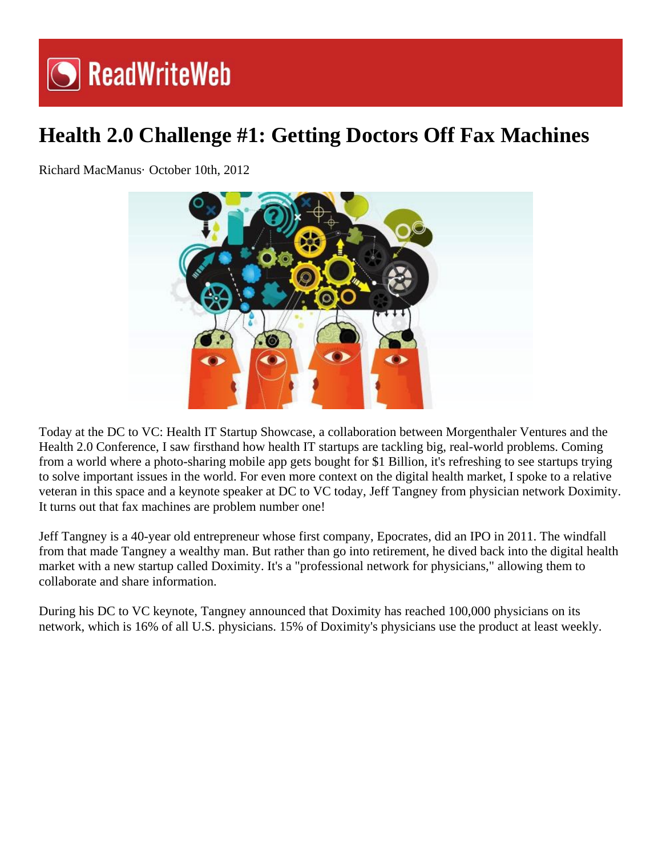## **S** ReadWriteWeb

## **Health 2.0 Challenge #1: Getting Doctors Off Fax Machines**

Richard MacManus· October 10th, 2012



Today at the DC to VC: Health IT Startup Showcase, a collaboration between Morgenthaler Ventures and the Health 2.0 Conference, I saw firsthand how health IT startups are tackling big, real-world problems. Coming from a world where a photo-sharing mobile app gets bought for \$1 Billion, it's refreshing to see startups trying to solve important issues in the world. For even more context on the digital health market, I spoke to a relative veteran in this space and a keynote speaker at DC to VC today, Jeff Tangney from physician network Doximity. It turns out that fax machines are problem number one!

Jeff Tangney is a 40-year old entrepreneur whose first company, Epocrates, did an IPO in 2011. The windfall from that made Tangney a wealthy man. But rather than go into retirement, he dived back into the digital health market with a new startup called Doximity. It's a "professional network for physicians," allowing them to collaborate and share information.

During his DC to VC keynote, Tangney announced that Doximity has reached 100,000 physicians on its network, which is 16% of all U.S. physicians. 15% of Doximity's physicians use the product at least weekly.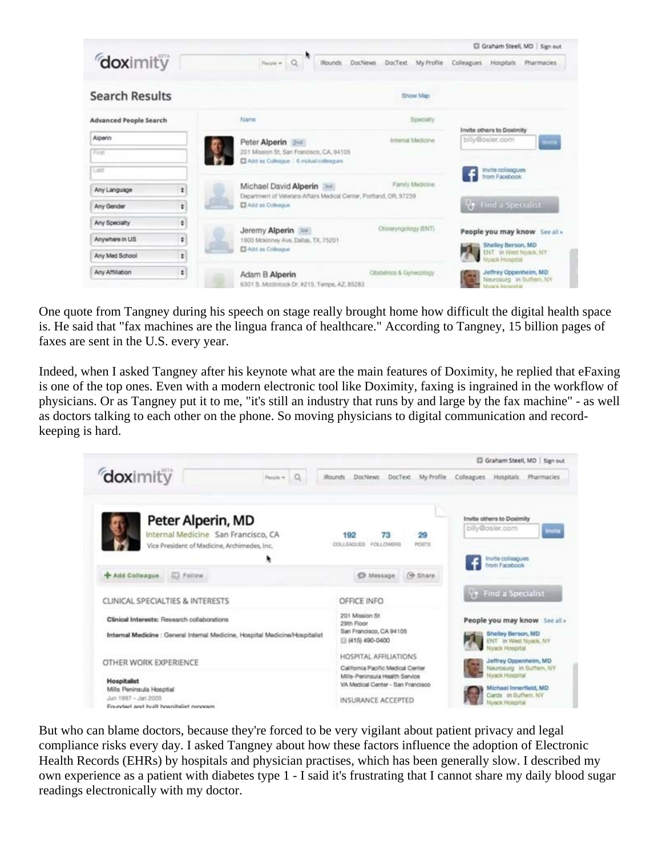|                                           |                                                                                              |                                      | Graham Steell, MD   Sign out                                              |
|-------------------------------------------|----------------------------------------------------------------------------------------------|--------------------------------------|---------------------------------------------------------------------------|
| doximity                                  | <b>IRounds</b>                                                                               | DocText My Profile<br><b>DocNews</b> | Colleagues<br>Hospitals<br><b>Pharmacies</b>                              |
| <b>Search Results</b>                     |                                                                                              | Show Map                             |                                                                           |
| <b>Advanced People Search</b>             | Name                                                                                         | Specialty                            |                                                                           |
| Alperin<br>First                          | Peter Alperin 2011<br>201 Mission St. San Francisco, CA, 94105                               | Internal Medicine                    | Invite others to Doximity<br>billy@osler.com<br>Invite                    |
| Last                                      | El Add as Collrague   6 millial colleagues                                                   |                                      | Invite colleagues<br>from Facebook                                        |
| ÷<br>Any Language                         | Michael David Alperin<br>Department of Veterans Affairs Medical Center, Portland, OR, 97239. | Family Medicine                      |                                                                           |
| ÷<br>Any Gender                           | <b>D</b> Add as Coleague                                                                     |                                      | <b>Vy</b> Find a Specialist                                               |
| ٠<br>Any Specialty<br>٠<br>Anywhere in US | Jeremy Alperin and<br>1900 Mckinney Ave, Dallas, TX, 75201                                   | Otoliaryngology (ENT)                | People you may know See all -                                             |
| ŧ<br>Any Med School                       | <b>D</b> Add as Coleague                                                                     |                                      | Shelley Berson, MD<br>ENT. in West Nyack, NY<br>Nyack Hotestal            |
| $\ddot{\phantom{a}}$<br>Any Affiliation   | Adam B Alperin<br>6301 S. Modintock Dr. #215. Tempe, AZ, 85283                               | Obstehlics & Gynecology              | Jeffrey Oppenheim, MD<br>Neurosung In Suffern, NY<br>Minterde EdinatedRad |

One quote from Tangney during his speech on stage really brought home how difficult the digital health space is. He said that "fax machines are the lingua franca of healthcare." According to Tangney, 15 billion pages of faxes are sent in the U.S. every year.

Indeed, when I asked Tangney after his keynote what are the main features of Doximity, he replied that eFaxing is one of the top ones. Even with a modern electronic tool like Doximity, faxing is ingrained in the workflow of physicians. Or as Tangney put it to me, "it's still an industry that runs by and large by the fax machine" - as well as doctors talking to each other on the phone. So moving physicians to digital communication and recordkeeping is hard.



But who can blame doctors, because they're forced to be very vigilant about patient privacy and legal compliance risks every day. I asked Tangney about how these factors influence the adoption of Electronic Health Records (EHRs) by hospitals and physician practises, which has been generally slow. I described my own experience as a patient with diabetes type 1 - I said it's frustrating that I cannot share my daily blood sugar readings electronically with my doctor.